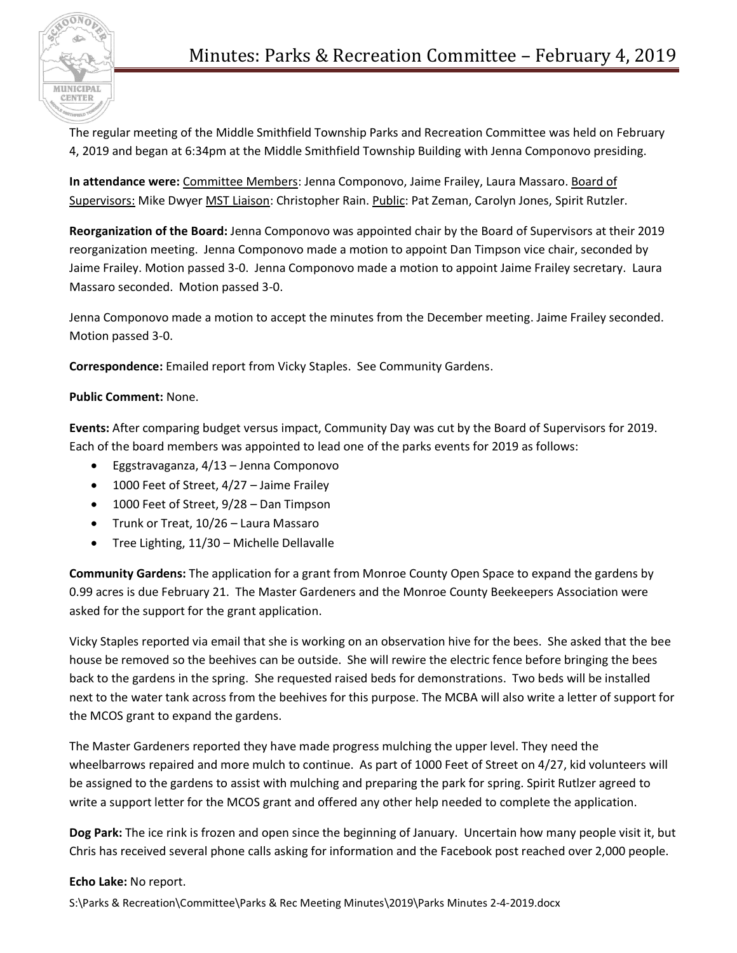

The regular meeting of the Middle Smithfield Township Parks and Recreation Committee was held on February 4, 2019 and began at 6:34pm at the Middle Smithfield Township Building with Jenna Componovo presiding.

**In attendance were:** Committee Members: Jenna Componovo, Jaime Frailey, Laura Massaro. Board of Supervisors: Mike Dwyer MST Liaison: Christopher Rain. Public: Pat Zeman, Carolyn Jones, Spirit Rutzler.

**Reorganization of the Board:** Jenna Componovo was appointed chair by the Board of Supervisors at their 2019 reorganization meeting. Jenna Componovo made a motion to appoint Dan Timpson vice chair, seconded by Jaime Frailey. Motion passed 3-0. Jenna Componovo made a motion to appoint Jaime Frailey secretary. Laura Massaro seconded. Motion passed 3-0.

Jenna Componovo made a motion to accept the minutes from the December meeting. Jaime Frailey seconded. Motion passed 3-0.

**Correspondence:** Emailed report from Vicky Staples. See Community Gardens.

## **Public Comment:** None.

**Events:** After comparing budget versus impact, Community Day was cut by the Board of Supervisors for 2019. Each of the board members was appointed to lead one of the parks events for 2019 as follows:

- Eggstravaganza, 4/13 Jenna Componovo
- 1000 Feet of Street, 4/27 Jaime Frailey
- 1000 Feet of Street, 9/28 Dan Timpson
- Trunk or Treat, 10/26 Laura Massaro
- Tree Lighting, 11/30 Michelle Dellavalle

**Community Gardens:** The application for a grant from Monroe County Open Space to expand the gardens by 0.99 acres is due February 21. The Master Gardeners and the Monroe County Beekeepers Association were asked for the support for the grant application.

Vicky Staples reported via email that she is working on an observation hive for the bees. She asked that the bee house be removed so the beehives can be outside. She will rewire the electric fence before bringing the bees back to the gardens in the spring. She requested raised beds for demonstrations. Two beds will be installed next to the water tank across from the beehives for this purpose. The MCBA will also write a letter of support for the MCOS grant to expand the gardens.

The Master Gardeners reported they have made progress mulching the upper level. They need the wheelbarrows repaired and more mulch to continue. As part of 1000 Feet of Street on 4/27, kid volunteers will be assigned to the gardens to assist with mulching and preparing the park for spring. Spirit Rutlzer agreed to write a support letter for the MCOS grant and offered any other help needed to complete the application.

**Dog Park:** The ice rink is frozen and open since the beginning of January. Uncertain how many people visit it, but Chris has received several phone calls asking for information and the Facebook post reached over 2,000 people.

## **Echo Lake:** No report.

S:\Parks & Recreation\Committee\Parks & Rec Meeting Minutes\2019\Parks Minutes 2-4-2019.docx